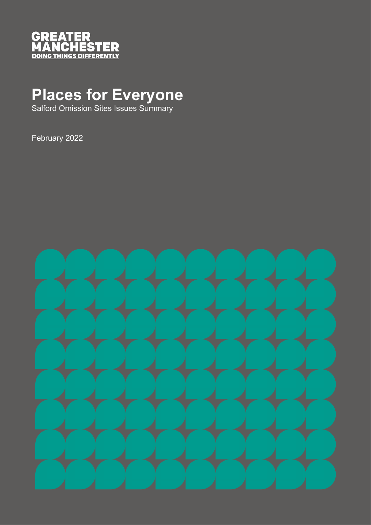

## **Places for Everyone**

Salford Omission Sites Issues Summary

February 2022

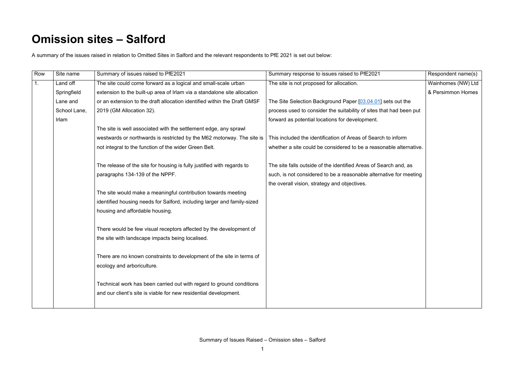## **Omission sites – Salford**

A summary of the issues raised in relation to Omitted Sites in Salford and the relevant respondents to PfE 2021 is set out below:

| Row            | Site name    | Summary of issues raised to PfE2021                                                                                                      | Summary response to issues raised to PfE2021                        | Respondent name(s) |
|----------------|--------------|------------------------------------------------------------------------------------------------------------------------------------------|---------------------------------------------------------------------|--------------------|
| 1 <sub>1</sub> | Land off     | The site could come forward as a logical and small-scale urban                                                                           | The site is not proposed for allocation.                            | Wainhomes (NW) Ltd |
|                | Springfield  | extension to the built-up area of Irlam via a standalone site allocation                                                                 |                                                                     | & Persimmon Homes  |
|                | Lane and     | or an extension to the draft allocation identified within the Draft GMSF                                                                 | The Site Selection Background Paper [03.04.01] sets out the         |                    |
|                | School Lane, | 2019 (GM Allocation 32).                                                                                                                 | process used to consider the suitability of sites that had been put |                    |
|                | Irlam        |                                                                                                                                          | forward as potential locations for development.                     |                    |
|                |              | The site is well associated with the settlement edge, any sprawl                                                                         |                                                                     |                    |
|                |              | westwards or northwards is restricted by the M62 motorway. The site is                                                                   | This included the identification of Areas of Search to inform       |                    |
|                |              | not integral to the function of the wider Green Belt.                                                                                    | whether a site could be considered to be a reasonable alternative.  |                    |
|                |              | The release of the site for housing is fully justified with regards to                                                                   | The site falls outside of the identified Areas of Search and, as    |                    |
|                |              | paragraphs 134-139 of the NPPF.                                                                                                          | such, is not considered to be a reasonable alternative for meeting  |                    |
|                |              |                                                                                                                                          | the overall vision, strategy and objectives.                        |                    |
|                |              | The site would make a meaningful contribution towards meeting                                                                            |                                                                     |                    |
|                |              | identified housing needs for Salford, including larger and family-sized                                                                  |                                                                     |                    |
|                |              | housing and affordable housing.                                                                                                          |                                                                     |                    |
|                |              | There would be few visual receptors affected by the development of                                                                       |                                                                     |                    |
|                |              | the site with landscape impacts being localised.                                                                                         |                                                                     |                    |
|                |              | There are no known constraints to development of the site in terms of                                                                    |                                                                     |                    |
|                |              | ecology and arboriculture.                                                                                                               |                                                                     |                    |
|                |              | Technical work has been carried out with regard to ground conditions<br>and our client's site is viable for new residential development. |                                                                     |                    |
|                |              |                                                                                                                                          |                                                                     |                    |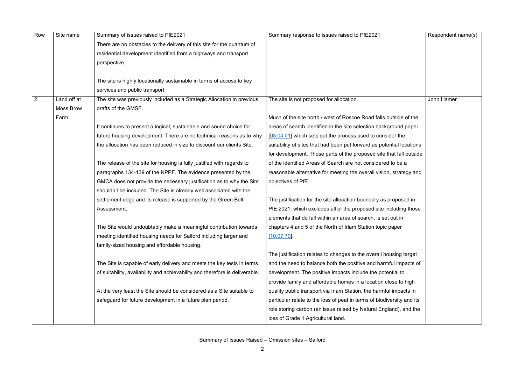Summary of Issues Raised – Omission sites – Salford

| Row | Site name        | Summary of issues raised to PfE2021                                          | Summary response to issues raised to PfE2021                           | Respondent name(s) |
|-----|------------------|------------------------------------------------------------------------------|------------------------------------------------------------------------|--------------------|
|     |                  | There are no obstacles to the delivery of this site for the quantum of       |                                                                        |                    |
|     |                  | residential development identified from a highways and transport             |                                                                        |                    |
|     |                  | perspective.                                                                 |                                                                        |                    |
|     |                  |                                                                              |                                                                        |                    |
|     |                  | The site is highly locationally sustainable in terms of access to key        |                                                                        |                    |
|     |                  | services and public transport.                                               |                                                                        |                    |
| 2.  | Land off at      | The site was previously included as a Strategic Allocation in previous       | The site is not proposed for allocation.                               | John Hamer         |
|     | <b>Moss Brow</b> | drafts of the GMSF.                                                          |                                                                        |                    |
|     | Farm             |                                                                              | Much of the site north / west of Roscoe Road falls outside of the      |                    |
|     |                  | It continues to present a logical, sustainable and sound choice for          | areas of search identified in the site selection background paper      |                    |
|     |                  | future housing development. There are no technical reasons as to why         | [03.04.01] which sets out the process used to consider the             |                    |
|     |                  | the allocation has been reduced in size to discount our clients Site.        | suitability of sites that had been put forward as potential locations  |                    |
|     |                  |                                                                              | for development. Those parts of the proposed site that fall outside    |                    |
|     |                  | The release of the site for housing is fully justified with regards to       | of the identified Areas of Search are not considered to be a           |                    |
|     |                  | paragraphs 134-139 of the NPPF. The evidence presented by the                | reasonable alternative for meeting the overall vision, strategy and    |                    |
|     |                  | GMCA does not provide the necessary justification as to why the Site         | objectives of PfE.                                                     |                    |
|     |                  | shouldn't be included. The Site is already well associated with the          |                                                                        |                    |
|     |                  | settlement edge and its release is supported by the Green Belt               | The justification for the site allocation boundary as proposed in      |                    |
|     |                  | Assessment.                                                                  | PfE 2021, which excludes all of the proposed site including those      |                    |
|     |                  |                                                                              | elements that do fall within an area of search, is set out in          |                    |
|     |                  | The Site would undoubtably make a meaningful contribution towards            | chapters 4 and 5 of the North of Irlam Station topic paper             |                    |
|     |                  | meeting identified housing needs for Salford including larger and            | [10.07.70]                                                             |                    |
|     |                  | family-sized housing and affordable housing.                                 |                                                                        |                    |
|     |                  |                                                                              | The justification relates to changes to the overall housing target     |                    |
|     |                  | The Site is capable of early delivery and meets the key tests in terms       | and the need to balance both the positive and harmful impacts of       |                    |
|     |                  | of suitability, availability and achievability and therefore is deliverable. | development. The positive impacts include the potential to             |                    |
|     |                  |                                                                              | provide family and affordable homes in a location close to high        |                    |
|     |                  | At the very least the Site should be considered as a Site suitable to        | quality public transport via Irlam Station, the harmful impacts in     |                    |
|     |                  | safeguard for future development in a future plan period.                    | particular relate to the loss of peat in terms of biodiversity and its |                    |
|     |                  |                                                                              | role storing carbon (an issue raised by Natural England), and the      |                    |
|     |                  |                                                                              | loss of Grade 1 Agricultural land.                                     |                    |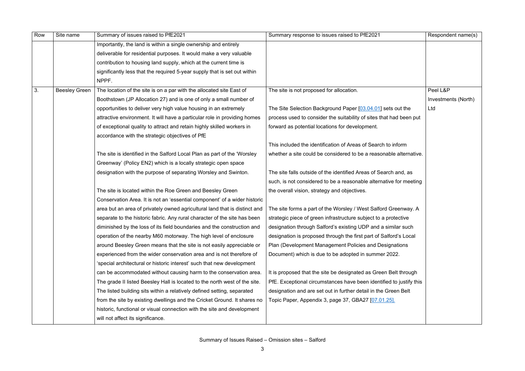| Row | Site name            | Summary of issues raised to PfE2021                                        | Summary response to issues raised to PfE2021                        | Respondent name(s)  |
|-----|----------------------|----------------------------------------------------------------------------|---------------------------------------------------------------------|---------------------|
|     |                      | Importantly, the land is within a single ownership and entirely            |                                                                     |                     |
|     |                      | deliverable for residential purposes. It would make a very valuable        |                                                                     |                     |
|     |                      | contribution to housing land supply, which at the current time is          |                                                                     |                     |
|     |                      | significantly less that the required 5-year supply that is set out within  |                                                                     |                     |
|     |                      | NPPF.                                                                      |                                                                     |                     |
| 3.  | <b>Beesley Green</b> | The location of the site is on a par with the allocated site East of       | The site is not proposed for allocation.                            | Peel L&P            |
|     |                      | Boothstown (JP Allocation 27) and is one of only a small number of         |                                                                     | Investments (North) |
|     |                      | opportunities to deliver very high value housing in an extremely           | The Site Selection Background Paper [03.04.01] sets out the         | Ltd                 |
|     |                      | attractive environment. It will have a particular role in providing homes  | process used to consider the suitability of sites that had been put |                     |
|     |                      | of exceptional quality to attract and retain highly skilled workers in     | forward as potential locations for development.                     |                     |
|     |                      | accordance with the strategic objectives of PfE                            |                                                                     |                     |
|     |                      |                                                                            | This included the identification of Areas of Search to inform       |                     |
|     |                      | The site is identified in the Salford Local Plan as part of the 'Worsley'  | whether a site could be considered to be a reasonable alternative.  |                     |
|     |                      | Greenway' (Policy EN2) which is a locally strategic open space             |                                                                     |                     |
|     |                      | designation with the purpose of separating Worsley and Swinton.            | The site falls outside of the identified Areas of Search and, as    |                     |
|     |                      |                                                                            | such, is not considered to be a reasonable alternative for meeting  |                     |
|     |                      | The site is located within the Roe Green and Beesley Green                 | the overall vision, strategy and objectives.                        |                     |
|     |                      | Conservation Area. It is not an 'essential component' of a wider historic  |                                                                     |                     |
|     |                      | area but an area of privately owned agricultural land that is distinct and | The site forms a part of the Worsley / West Salford Greenway. A     |                     |
|     |                      | separate to the historic fabric. Any rural character of the site has been  | strategic piece of green infrastructure subject to a protective     |                     |
|     |                      | diminished by the loss of its field boundaries and the construction and    | designation through Salford's existing UDP and a similar such       |                     |
|     |                      | operation of the nearby M60 motorway. The high level of enclosure          | designation is proposed through the first part of Salford's Local   |                     |
|     |                      | around Beesley Green means that the site is not easily appreciable or      | Plan (Development Management Policies and Designations              |                     |
|     |                      | experienced from the wider conservation area and is not therefore of       | Document) which is due to be adopted in summer 2022.                |                     |
|     |                      | 'special architectural or historic interest' such that new development     |                                                                     |                     |
|     |                      | can be accommodated without causing harm to the conservation area.         | It is proposed that the site be designated as Green Belt through    |                     |
|     |                      | The grade II listed Beesley Hall is located to the north west of the site. | PfE. Exceptional circumstances have been identified to justify this |                     |
|     |                      | The listed building sits within a relatively defined setting, separated    | designation and are set out in further detail in the Green Belt     |                     |
|     |                      | from the site by existing dwellings and the Cricket Ground. It shares no   | Topic Paper, Appendix 3, page 37, GBA27 [07.01.25].                 |                     |
|     |                      | historic, functional or visual connection with the site and development    |                                                                     |                     |
|     |                      | will not affect its significance.                                          |                                                                     |                     |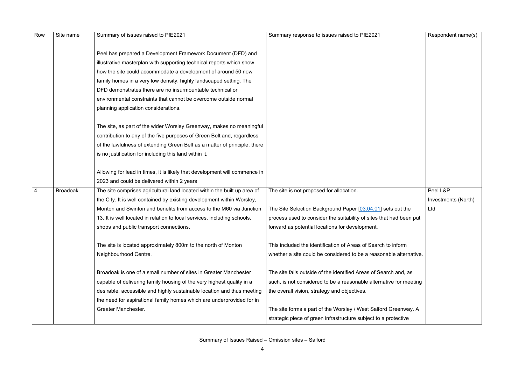| Row | Site name       | Summary of issues raised to PfE2021                                        | Summary response to issues raised to PfE2021                        | Respondent name(s)  |
|-----|-----------------|----------------------------------------------------------------------------|---------------------------------------------------------------------|---------------------|
|     |                 |                                                                            |                                                                     |                     |
|     |                 | Peel has prepared a Development Framework Document (DFD) and               |                                                                     |                     |
|     |                 | illustrative masterplan with supporting technical reports which show       |                                                                     |                     |
|     |                 | how the site could accommodate a development of around 50 new              |                                                                     |                     |
|     |                 | family homes in a very low density, highly landscaped setting. The         |                                                                     |                     |
|     |                 | DFD demonstrates there are no insurmountable technical or                  |                                                                     |                     |
|     |                 | environmental constraints that cannot be overcome outside normal           |                                                                     |                     |
|     |                 | planning application considerations.                                       |                                                                     |                     |
|     |                 | The site, as part of the wider Worsley Greenway, makes no meaningful       |                                                                     |                     |
|     |                 | contribution to any of the five purposes of Green Belt and, regardless     |                                                                     |                     |
|     |                 | of the lawfulness of extending Green Belt as a matter of principle, there  |                                                                     |                     |
|     |                 | is no justification for including this land within it.                     |                                                                     |                     |
|     |                 | Allowing for lead in times, it is likely that development will commence in |                                                                     |                     |
|     |                 | 2023 and could be delivered within 2 years                                 |                                                                     |                     |
| 4.  | <b>Broadoak</b> | The site comprises agricultural land located within the built up area of   | The site is not proposed for allocation.                            | Peel L&P            |
|     |                 | the City. It is well contained by existing development within Worsley,     |                                                                     | Investments (North) |
|     |                 | Monton and Swinton and benefits from access to the M60 via Junction        | The Site Selection Background Paper [03.04.01] sets out the         | Ltd                 |
|     |                 | 13. It is well located in relation to local services, including schools,   | process used to consider the suitability of sites that had been put |                     |
|     |                 | shops and public transport connections.                                    | forward as potential locations for development.                     |                     |
|     |                 | The site is located approximately 800m to the north of Monton              | This included the identification of Areas of Search to inform       |                     |
|     |                 | Neighbourhood Centre.                                                      | whether a site could be considered to be a reasonable alternative.  |                     |
|     |                 | Broadoak is one of a small number of sites in Greater Manchester           | The site falls outside of the identified Areas of Search and, as    |                     |
|     |                 | capable of delivering family housing of the very highest quality in a      | such, is not considered to be a reasonable alternative for meeting  |                     |
|     |                 | desirable, accessible and highly sustainable location and thus meeting     | the overall vision, strategy and objectives.                        |                     |
|     |                 | the need for aspirational family homes which are underprovided for in      |                                                                     |                     |
|     |                 | Greater Manchester.                                                        | The site forms a part of the Worsley / West Salford Greenway. A     |                     |
|     |                 |                                                                            | strategic piece of green infrastructure subject to a protective     |                     |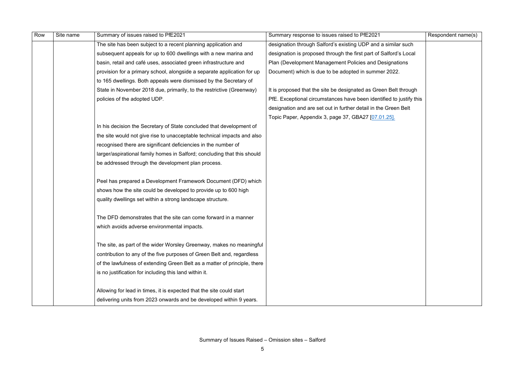| Row | Site name | Summary of issues raised to PfE2021                                       | Summary response to issues raised to PfE2021                        | Respondent name(s) |
|-----|-----------|---------------------------------------------------------------------------|---------------------------------------------------------------------|--------------------|
|     |           | The site has been subject to a recent planning application and            | designation through Salford's existing UDP and a similar such       |                    |
|     |           | subsequent appeals for up to 600 dwellings with a new marina and          | designation is proposed through the first part of Salford's Local   |                    |
|     |           | basin, retail and café uses, associated green infrastructure and          | Plan (Development Management Policies and Designations              |                    |
|     |           | provision for a primary school, alongside a separate application for up   | Document) which is due to be adopted in summer 2022.                |                    |
|     |           | to 165 dwellings. Both appeals were dismissed by the Secretary of         |                                                                     |                    |
|     |           | State in November 2018 due, primarily, to the restrictive (Greenway)      | It is proposed that the site be designated as Green Belt through    |                    |
|     |           | policies of the adopted UDP.                                              | PfE. Exceptional circumstances have been identified to justify this |                    |
|     |           |                                                                           | designation and are set out in further detail in the Green Belt     |                    |
|     |           |                                                                           | Topic Paper, Appendix 3, page 37, GBA27 [07.01.25].                 |                    |
|     |           | In his decision the Secretary of State concluded that development of      |                                                                     |                    |
|     |           | the site would not give rise to unacceptable technical impacts and also   |                                                                     |                    |
|     |           | recognised there are significant deficiencies in the number of            |                                                                     |                    |
|     |           | larger/aspirational family homes in Salford; concluding that this should  |                                                                     |                    |
|     |           | be addressed through the development plan process.                        |                                                                     |                    |
|     |           |                                                                           |                                                                     |                    |
|     |           | Peel has prepared a Development Framework Document (DFD) which            |                                                                     |                    |
|     |           | shows how the site could be developed to provide up to 600 high           |                                                                     |                    |
|     |           | quality dwellings set within a strong landscape structure.                |                                                                     |                    |
|     |           |                                                                           |                                                                     |                    |
|     |           | The DFD demonstrates that the site can come forward in a manner           |                                                                     |                    |
|     |           | which avoids adverse environmental impacts.                               |                                                                     |                    |
|     |           |                                                                           |                                                                     |                    |
|     |           | The site, as part of the wider Worsley Greenway, makes no meaningful      |                                                                     |                    |
|     |           | contribution to any of the five purposes of Green Belt and, regardless    |                                                                     |                    |
|     |           | of the lawfulness of extending Green Belt as a matter of principle, there |                                                                     |                    |
|     |           | is no justification for including this land within it.                    |                                                                     |                    |
|     |           |                                                                           |                                                                     |                    |
|     |           | Allowing for lead in times, it is expected that the site could start      |                                                                     |                    |
|     |           | delivering units from 2023 onwards and be developed within 9 years.       |                                                                     |                    |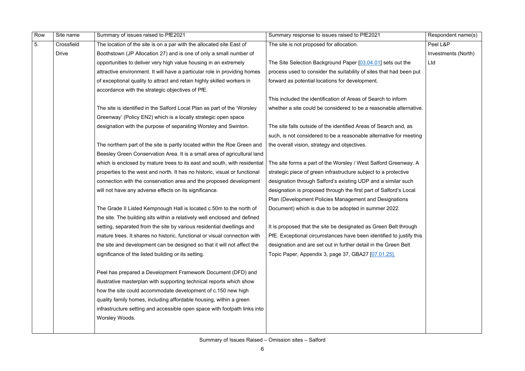Summary of Issues Raised – Omission sites – Salford

| Row | Site name    | Summary of issues raised to PfE2021                                        | Summary response to issues raised to PfE2021                        | Respondent name(s)  |
|-----|--------------|----------------------------------------------------------------------------|---------------------------------------------------------------------|---------------------|
| 5.  | Crossfield   | The location of the site is on a par with the allocated site East of       | The site is not proposed for allocation.                            | Peel L&P            |
|     | <b>Drive</b> | Boothstown (JP Allocation 27) and is one of only a small number of         |                                                                     | Investments (North) |
|     |              | opportunities to deliver very high value housing in an extremely           | The Site Selection Background Paper [03.04.01] sets out the         | Ltd                 |
|     |              | attractive environment. It will have a particular role in providing homes  | process used to consider the suitability of sites that had been put |                     |
|     |              | of exceptional quality to attract and retain highly skilled workers in     | forward as potential locations for development.                     |                     |
|     |              | accordance with the strategic objectives of PfE.                           |                                                                     |                     |
|     |              |                                                                            | This included the identification of Areas of Search to inform       |                     |
|     |              | The site is identified in the Salford Local Plan as part of the 'Worsley   | whether a site could be considered to be a reasonable alternative.  |                     |
|     |              | Greenway' (Policy EN2) which is a locally strategic open space             |                                                                     |                     |
|     |              | designation with the purpose of separating Worsley and Swinton.            | The site falls outside of the identified Areas of Search and, as    |                     |
|     |              |                                                                            | such, is not considered to be a reasonable alternative for meeting  |                     |
|     |              | The northern part of the site is partly located within the Roe Green and   | the overall vision, strategy and objectives.                        |                     |
|     |              | Beesley Green Conservation Area. It is a small area of agricultural land   |                                                                     |                     |
|     |              | which is enclosed by mature trees to its east and south, with residential  | The site forms a part of the Worsley / West Salford Greenway. A     |                     |
|     |              | properties to the west and north. It has no historic, visual or functional | strategic piece of green infrastructure subject to a protective     |                     |
|     |              | connection with the conservation area and the proposed development         | designation through Salford's existing UDP and a similar such       |                     |
|     |              | will not have any adverse effects on its significance.                     | designation is proposed through the first part of Salford's Local   |                     |
|     |              |                                                                            | Plan (Development Policies Management and Designations              |                     |
|     |              | The Grade II Listed Kempnough Hall is located c.50m to the north of        | Document) which is due to be adopted in summer 2022.                |                     |
|     |              | the site. The building sits within a relatively well enclosed and defined  |                                                                     |                     |
|     |              | setting, separated from the site by various residential dwellings and      | It is proposed that the site be designated as Green Belt through    |                     |
|     |              | mature trees. It shares no historic, functional or visual connection with  | PfE. Exceptional circumstances have been identified to justify this |                     |
|     |              | the site and development can be designed so that it will not affect the    | designation and are set out in further detail in the Green Belt     |                     |
|     |              | significance of the listed building or its setting.                        | Topic Paper, Appendix 3, page 37, GBA27 [07.01.25].                 |                     |
|     |              | Peel has prepared a Development Framework Document (DFD) and               |                                                                     |                     |
|     |              | illustrative masterplan with supporting technical reports which show       |                                                                     |                     |
|     |              | how the site could accommodate development of c.150 new high               |                                                                     |                     |
|     |              | quality family homes, including affordable housing, within a green         |                                                                     |                     |
|     |              | infrastructure setting and accessible open space with footpath links into  |                                                                     |                     |
|     |              | Worsley Woods.                                                             |                                                                     |                     |
|     |              |                                                                            |                                                                     |                     |
|     |              |                                                                            |                                                                     |                     |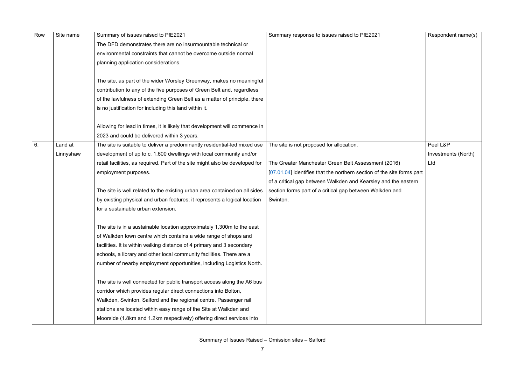| Row | Site name | Summary of issues raised to PfE2021                                          | Summary response to issues raised to PfE2021                           | Respondent name(s)  |
|-----|-----------|------------------------------------------------------------------------------|------------------------------------------------------------------------|---------------------|
|     |           | The DFD demonstrates there are no insurmountable technical or                |                                                                        |                     |
|     |           | environmental constraints that cannot be overcome outside normal             |                                                                        |                     |
|     |           | planning application considerations.                                         |                                                                        |                     |
|     |           | The site, as part of the wider Worsley Greenway, makes no meaningful         |                                                                        |                     |
|     |           | contribution to any of the five purposes of Green Belt and, regardless       |                                                                        |                     |
|     |           | of the lawfulness of extending Green Belt as a matter of principle, there    |                                                                        |                     |
|     |           | is no justification for including this land within it.                       |                                                                        |                     |
|     |           | Allowing for lead in times, it is likely that development will commence in   |                                                                        |                     |
|     |           | 2023 and could be delivered within 3 years.                                  |                                                                        |                     |
| 6.  | Land at   | The site is suitable to deliver a predominantly residential-led mixed use    | The site is not proposed for allocation.                               | Peel L&P            |
|     | Linnyshaw | development of up to c. 1,600 dwellings with local community and/or          |                                                                        | Investments (North) |
|     |           | retail facilities, as required. Part of the site might also be developed for | The Greater Manchester Green Belt Assessment (2016)                    | Ltd                 |
|     |           | employment purposes.                                                         | [07.01.04] identifies that the northern section of the site forms part |                     |
|     |           |                                                                              | of a critical gap between Walkden and Kearsley and the eastern         |                     |
|     |           | The site is well related to the existing urban area contained on all sides   | section forms part of a critical gap between Walkden and               |                     |
|     |           | by existing physical and urban features; it represents a logical location    | Swinton.                                                               |                     |
|     |           | for a sustainable urban extension.                                           |                                                                        |                     |
|     |           | The site is in a sustainable location approximately 1,300m to the east       |                                                                        |                     |
|     |           | of Walkden town centre which contains a wide range of shops and              |                                                                        |                     |
|     |           | facilities. It is within walking distance of 4 primary and 3 secondary       |                                                                        |                     |
|     |           | schools, a library and other local community facilities. There are a         |                                                                        |                     |
|     |           | number of nearby employment opportunities, including Logistics North.        |                                                                        |                     |
|     |           | The site is well connected for public transport access along the A6 bus      |                                                                        |                     |
|     |           | corridor which provides regular direct connections into Bolton,              |                                                                        |                     |
|     |           | Walkden, Swinton, Salford and the regional centre. Passenger rail            |                                                                        |                     |
|     |           | stations are located within easy range of the Site at Walkden and            |                                                                        |                     |
|     |           | Moorside (1.8km and 1.2km respectively) offering direct services into        |                                                                        |                     |
|     |           |                                                                              |                                                                        |                     |

|                                             | Respondent name(s)                     |
|---------------------------------------------|----------------------------------------|
|                                             |                                        |
| 16)<br>ite forms part<br>the eastern<br>and | Peel L&P<br>Investments (North)<br>Ltd |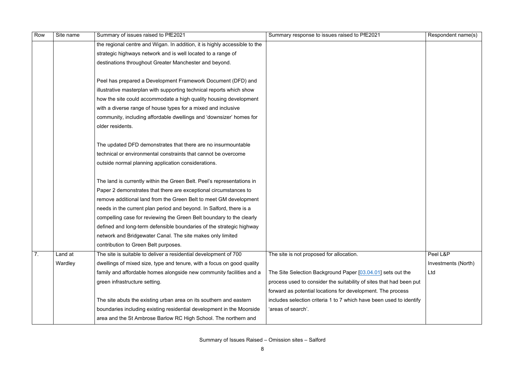| Row              | Site name | Summary of issues raised to PfE2021                                        | Summary response to issues raised to PfE2021                        | Respondent name(s)  |
|------------------|-----------|----------------------------------------------------------------------------|---------------------------------------------------------------------|---------------------|
|                  |           | the regional centre and Wigan. In addition, it is highly accessible to the |                                                                     |                     |
|                  |           | strategic highways network and is well located to a range of               |                                                                     |                     |
|                  |           | destinations throughout Greater Manchester and beyond.                     |                                                                     |                     |
|                  |           |                                                                            |                                                                     |                     |
|                  |           | Peel has prepared a Development Framework Document (DFD) and               |                                                                     |                     |
|                  |           | illustrative masterplan with supporting technical reports which show       |                                                                     |                     |
|                  |           | how the site could accommodate a high quality housing development          |                                                                     |                     |
|                  |           | with a diverse range of house types for a mixed and inclusive              |                                                                     |                     |
|                  |           | community, including affordable dwellings and 'downsizer' homes for        |                                                                     |                     |
|                  |           | older residents.                                                           |                                                                     |                     |
|                  |           |                                                                            |                                                                     |                     |
|                  |           | The updated DFD demonstrates that there are no insurmountable              |                                                                     |                     |
|                  |           | technical or environmental constraints that cannot be overcome             |                                                                     |                     |
|                  |           | outside normal planning application considerations.                        |                                                                     |                     |
|                  |           | The land is currently within the Green Belt. Peel's representations in     |                                                                     |                     |
|                  |           | Paper 2 demonstrates that there are exceptional circumstances to           |                                                                     |                     |
|                  |           | remove additional land from the Green Belt to meet GM development          |                                                                     |                     |
|                  |           | needs in the current plan period and beyond. In Salford, there is a        |                                                                     |                     |
|                  |           | compelling case for reviewing the Green Belt boundary to the clearly       |                                                                     |                     |
|                  |           | defined and long-term defensible boundaries of the strategic highway       |                                                                     |                     |
|                  |           | network and Bridgewater Canal. The site makes only limited                 |                                                                     |                     |
|                  |           | contribution to Green Belt purposes.                                       |                                                                     |                     |
| $\overline{7}$ . | Land at   | The site is suitable to deliver a residential development of 700           | The site is not proposed for allocation.                            | Peel L&P            |
|                  | Wardley   | dwellings of mixed size, type and tenure, with a focus on good quality     |                                                                     | Investments (North) |
|                  |           | family and affordable homes alongside new community facilities and a       | The Site Selection Background Paper [03.04.01] sets out the         | Ltd                 |
|                  |           | green infrastructure setting.                                              | process used to consider the suitability of sites that had been put |                     |
|                  |           |                                                                            | forward as potential locations for development. The process         |                     |
|                  |           | The site abuts the existing urban area on its southern and eastern         | includes selection criteria 1 to 7 which have been used to identify |                     |
|                  |           | boundaries including existing residential development in the Moorside      | 'areas of search'.                                                  |                     |
|                  |           | area and the St Ambrose Barlow RC High School. The northern and            |                                                                     |                     |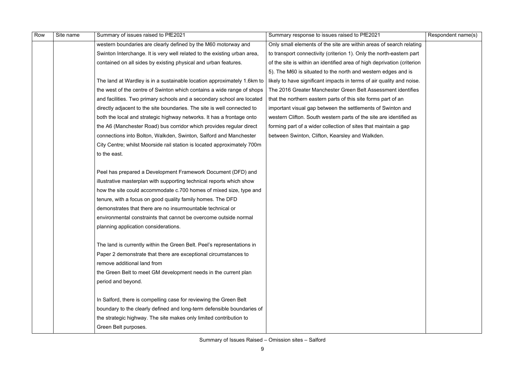Summary of Issues Raised – Omission sites – Salford

| Row | Site name | Summary of issues raised to PfE2021                                      | Summary response to issues raised to PfE2021                            | Respondent name(s) |
|-----|-----------|--------------------------------------------------------------------------|-------------------------------------------------------------------------|--------------------|
|     |           | western boundaries are clearly defined by the M60 motorway and           | Only small elements of the site are within areas of search relating     |                    |
|     |           | Swinton Interchange. It is very well related to the existing urban area, | to transport connectivity (criterion 1). Only the north-eastern part    |                    |
|     |           | contained on all sides by existing physical and urban features.          | of the site is within an identified area of high deprivation (criterion |                    |
|     |           |                                                                          | 5). The M60 is situated to the north and western edges and is           |                    |
|     |           | The land at Wardley is in a sustainable location approximately 1.6km to  | likely to have significant impacts in terms of air quality and noise.   |                    |
|     |           | the west of the centre of Swinton which contains a wide range of shops   | The 2016 Greater Manchester Green Belt Assessment identifies            |                    |
|     |           | and facilities. Two primary schools and a secondary school are located   | that the northern eastern parts of this site forms part of an           |                    |
|     |           | directly adjacent to the site boundaries. The site is well connected to  | important visual gap between the settlements of Swinton and             |                    |
|     |           | both the local and strategic highway networks. It has a frontage onto    | western Clifton. South western parts of the site are identified as      |                    |
|     |           | the A6 (Manchester Road) bus corridor which provides regular direct      | forming part of a wider collection of sites that maintain a gap         |                    |
|     |           | connections into Bolton, Walkden, Swinton, Salford and Manchester        | between Swinton, Clifton, Kearsley and Walkden.                         |                    |
|     |           | City Centre; whilst Moorside rail station is located approximately 700m  |                                                                         |                    |
|     |           | to the east.                                                             |                                                                         |                    |
|     |           |                                                                          |                                                                         |                    |
|     |           | Peel has prepared a Development Framework Document (DFD) and             |                                                                         |                    |
|     |           | illustrative masterplan with supporting technical reports which show     |                                                                         |                    |
|     |           | how the site could accommodate c.700 homes of mixed size, type and       |                                                                         |                    |
|     |           | tenure, with a focus on good quality family homes. The DFD               |                                                                         |                    |
|     |           | demonstrates that there are no insurmountable technical or               |                                                                         |                    |
|     |           | environmental constraints that cannot be overcome outside normal         |                                                                         |                    |
|     |           | planning application considerations.                                     |                                                                         |                    |
|     |           | The land is currently within the Green Belt. Peel's representations in   |                                                                         |                    |
|     |           | Paper 2 demonstrate that there are exceptional circumstances to          |                                                                         |                    |
|     |           | remove additional land from                                              |                                                                         |                    |
|     |           | the Green Belt to meet GM development needs in the current plan          |                                                                         |                    |
|     |           | period and beyond.                                                       |                                                                         |                    |
|     |           |                                                                          |                                                                         |                    |
|     |           | In Salford, there is compelling case for reviewing the Green Belt        |                                                                         |                    |
|     |           | boundary to the clearly defined and long-term defensible boundaries of   |                                                                         |                    |
|     |           | the strategic highway. The site makes only limited contribution to       |                                                                         |                    |
|     |           | Green Belt purposes.                                                     |                                                                         |                    |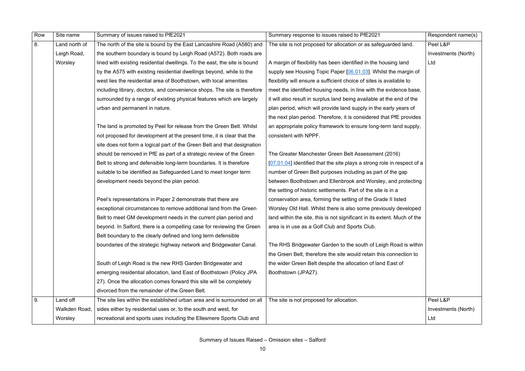| Row | Site name     | Summary of issues raised to PfE2021                                       | Summary response to issues raised to PfE2021                             | Respondent name(s)  |
|-----|---------------|---------------------------------------------------------------------------|--------------------------------------------------------------------------|---------------------|
| 8.  | Land north of | The north of the site is bound by the East Lancashire Road (A580) and     | The site is not proposed for allocation or as safeguarded land.          | Peel L&P            |
|     | Leigh Road,   | the southern boundary is bound by Leigh Road (A572). Both roads are       |                                                                          | Investments (North) |
|     | Worsley       | lined with existing residential dwellings. To the east, the site is bound | A margin of flexibility has been identified in the housing land          | Ltd                 |
|     |               | by the A575 with existing residential dwellings beyond, while to the      | supply see Housing Topic Paper [06.01.03]. Whilst the margin of          |                     |
|     |               | west lies the residential area of Boothstown, with local amenities        | flexibility will ensure a sufficient choice of sites is available to     |                     |
|     |               | including library, doctors, and convenience shops. The site is therefore  | meet the identified housing needs, in line with the evidence base,       |                     |
|     |               | surrounded by a range of existing physical features which are largely     | it will also result in surplus land being available at the end of the    |                     |
|     |               | urban and permanent in nature.                                            | plan period, which will provide land supply in the early years of        |                     |
|     |               |                                                                           | the next plan period. Therefore, it is considered that PfE provides      |                     |
|     |               | The land is promoted by Peel for release from the Green Belt. Whilst      | an appropriate policy framework to ensure long-term land supply,         |                     |
|     |               | not proposed for development at the present time, it is clear that the    | consistent with NPPF.                                                    |                     |
|     |               | site does not form a logical part of the Green Belt and that designation  |                                                                          |                     |
|     |               | should be removed in PfE as part of a strategic review of the Green       | The Greater Manchester Green Belt Assessment (2016)                      |                     |
|     |               | Belt to strong and defensible long-term boundaries. It is therefore       | [07.01.04] identified that the site plays a strong role in respect of a  |                     |
|     |               | suitable to be identified as Safeguarded Land to meet longer term         | number of Green Belt purposes including as part of the gap               |                     |
|     |               | development needs beyond the plan period.                                 | between Boothstown and Ellenbrook and Worsley, and protecting            |                     |
|     |               |                                                                           | the setting of historic settlements. Part of the site is in a            |                     |
|     |               | Peel's representations in Paper 2 demonstrate that there are              | conservation area, forming the setting of the Grade II listed            |                     |
|     |               | exceptional circumstances to remove additional land from the Green        | Worsley Old Hall. Whilst there is also some previously developed         |                     |
|     |               | Belt to meet GM development needs in the current plan period and          | land within the site, this is not significant in its extent. Much of the |                     |
|     |               | beyond. In Salford, there is a compelling case for reviewing the Green    | area is in use as a Golf Club and Sports Club.                           |                     |
|     |               | Belt boundary to the clearly defined and long term defensible             |                                                                          |                     |
|     |               | boundaries of the strategic highway network and Bridgewater Canal.        | The RHS Bridgewater Garden to the south of Leigh Road is within          |                     |
|     |               |                                                                           | the Green Belt, therefore the site would retain this connection to       |                     |
|     |               | South of Leigh Road is the new RHS Garden Bridgewater and                 | the wider Green Belt despite the allocation of land East of              |                     |
|     |               | emerging residential allocation, land East of Boothstown (Policy JPA      | Boothstown (JPA27).                                                      |                     |
|     |               | 27). Once the allocation comes forward this site will be completely       |                                                                          |                     |
|     |               | divorced from the remainder of the Green Belt.                            |                                                                          |                     |
| 9.  | Land off      | The site lies within the established urban area and is surrounded on all  | The site is not proposed for allocation.                                 | Peel L&P            |
|     | Walkden Road, | sides either by residential uses or, to the south and west, for           |                                                                          | Investments (North) |
|     | Worsley       | recreational and sports uses including the Ellesmere Sports Club and      |                                                                          | Ltd                 |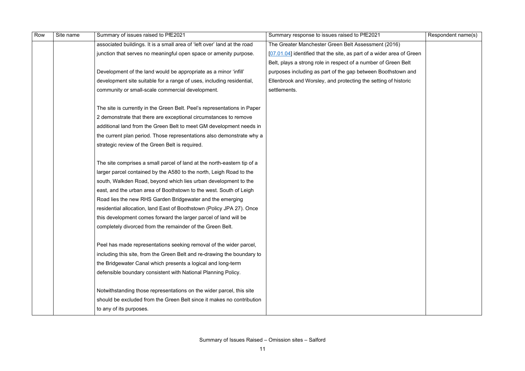| Row | Site name | Summary of issues raised to PfE2021                                      | Summary response to issues raised to PfE2021                          | Respondent name(s) |
|-----|-----------|--------------------------------------------------------------------------|-----------------------------------------------------------------------|--------------------|
|     |           | associated buildings. It is a small area of 'left over' land at the road | The Greater Manchester Green Belt Assessment (2016)                   |                    |
|     |           | junction that serves no meaningful open space or amenity purpose.        | [07.01.04] identified that the site, as part of a wider area of Green |                    |
|     |           |                                                                          | Belt, plays a strong role in respect of a number of Green Belt        |                    |
|     |           | Development of the land would be appropriate as a minor 'infill'         | purposes including as part of the gap between Boothstown and          |                    |
|     |           | development site suitable for a range of uses, including residential,    | Ellenbrook and Worsley, and protecting the setting of historic        |                    |
|     |           | community or small-scale commercial development.                         | settlements.                                                          |                    |
|     |           |                                                                          |                                                                       |                    |
|     |           | The site is currently in the Green Belt. Peel's representations in Paper |                                                                       |                    |
|     |           | 2 demonstrate that there are exceptional circumstances to remove         |                                                                       |                    |
|     |           | additional land from the Green Belt to meet GM development needs in      |                                                                       |                    |
|     |           | the current plan period. Those representations also demonstrate why a    |                                                                       |                    |
|     |           | strategic review of the Green Belt is required.                          |                                                                       |                    |
|     |           |                                                                          |                                                                       |                    |
|     |           | The site comprises a small parcel of land at the north-eastern tip of a  |                                                                       |                    |
|     |           | larger parcel contained by the A580 to the north, Leigh Road to the      |                                                                       |                    |
|     |           | south, Walkden Road, beyond which lies urban development to the          |                                                                       |                    |
|     |           | east, and the urban area of Boothstown to the west. South of Leigh       |                                                                       |                    |
|     |           | Road lies the new RHS Garden Bridgewater and the emerging                |                                                                       |                    |
|     |           | residential allocation, land East of Boothstown (Policy JPA 27). Once    |                                                                       |                    |
|     |           | this development comes forward the larger parcel of land will be         |                                                                       |                    |
|     |           | completely divorced from the remainder of the Green Belt.                |                                                                       |                    |
|     |           | Peel has made representations seeking removal of the wider parcel,       |                                                                       |                    |
|     |           | including this site, from the Green Belt and re-drawing the boundary to  |                                                                       |                    |
|     |           | the Bridgewater Canal which presents a logical and long-term             |                                                                       |                    |
|     |           |                                                                          |                                                                       |                    |
|     |           | defensible boundary consistent with National Planning Policy.            |                                                                       |                    |
|     |           | Notwithstanding those representations on the wider parcel, this site     |                                                                       |                    |
|     |           | should be excluded from the Green Belt since it makes no contribution    |                                                                       |                    |
|     |           | to any of its purposes.                                                  |                                                                       |                    |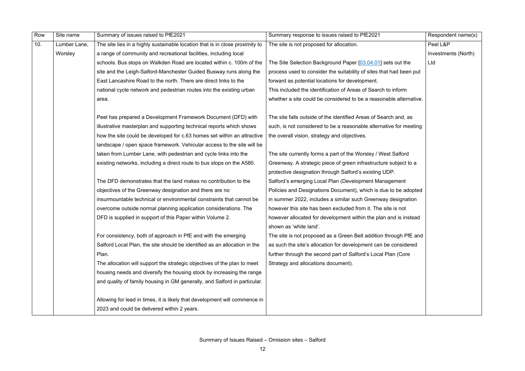| Row | Site name    | Summary of issues raised to PfE2021                                          | Summary response to issues raised to PfE2021                        | Respondent name(s)  |
|-----|--------------|------------------------------------------------------------------------------|---------------------------------------------------------------------|---------------------|
| 10. | Lumber Lane, | The site lies in a highly sustainable location that is in close proximity to | The site is not proposed for allocation.                            | Peel L&P            |
|     | Worsley      | a range of community and recreational facilities, including local            |                                                                     | Investments (North) |
|     |              | schools. Bus stops on Walkden Road are located within c. 100m of the         | The Site Selection Background Paper [03.04.01] sets out the         | Ltd                 |
|     |              | site and the Leigh-Salford-Manchester Guided Busway runs along the           | process used to consider the suitability of sites that had been put |                     |
|     |              | East Lancashire Road to the north. There are direct links to the             | forward as potential locations for development.                     |                     |
|     |              | national cycle network and pedestrian routes into the existing urban         | This included the identification of Areas of Search to inform       |                     |
|     |              | area.                                                                        | whether a site could be considered to be a reasonable alternative.  |                     |
|     |              |                                                                              |                                                                     |                     |
|     |              | Peel has prepared a Development Framework Document (DFD) with                | The site falls outside of the identified Areas of Search and, as    |                     |
|     |              | illustrative masterplan and supporting technical reports which shows         | such, is not considered to be a reasonable alternative for meeting  |                     |
|     |              | how the site could be developed for c.63 homes set within an attractive      | the overall vision, strategy and objectives.                        |                     |
|     |              | landscape / open space framework. Vehicular access to the site will be       |                                                                     |                     |
|     |              | taken from Lumber Lane, with pedestrian and cycle links into the             | The site currently forms a part of the Worsley / West Salford       |                     |
|     |              | existing networks, including a direct route to bus stops on the A580.        | Greenway. A strategic piece of green infrastructure subject to a    |                     |
|     |              |                                                                              | protective designation through Salford's existing UDP.              |                     |
|     |              | The DFD demonstrates that the land makes no contribution to the              | Salford's emerging Local Plan (Development Management               |                     |
|     |              | objectives of the Greenway designation and there are no                      | Policies and Designations Document), which is due to be adopted     |                     |
|     |              | insurmountable technical or environmental constraints that cannot be         | in summer 2022, includes a similar such Greenway designation        |                     |
|     |              | overcome outside normal planning application considerations. The             | however this site has been excluded from it. The site is not        |                     |
|     |              | DFD is supplied in support of this Paper within Volume 2.                    | however allocated for development within the plan and is instead    |                     |
|     |              |                                                                              | shown as 'white land'                                               |                     |
|     |              | For consistency, both of approach in PfE and with the emerging               | The site is not proposed as a Green Belt addition through PfE and   |                     |
|     |              | Salford Local Plan, the site should be identified as an allocation in the    | as such the site's allocation for development can be considered     |                     |
|     |              | Plan.                                                                        | further through the second part of Salford's Local Plan (Core       |                     |
|     |              | The allocation will support the strategic objectives of the plan to meet     | Strategy and allocations document).                                 |                     |
|     |              | housing needs and diversify the housing stock by increasing the range        |                                                                     |                     |
|     |              | and quality of family housing in GM generally, and Salford in particular.    |                                                                     |                     |
|     |              |                                                                              |                                                                     |                     |
|     |              | Allowing for lead in times, it is likely that development will commence in   |                                                                     |                     |
|     |              | 2023 and could be delivered within 2 years.                                  |                                                                     |                     |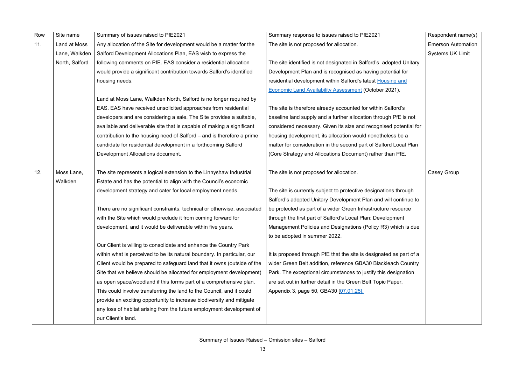| Row | Site name      | Summary of issues raised to PfE2021                                      | Summary response to issues raised to PfE2021                        | Respondent name(s)        |
|-----|----------------|--------------------------------------------------------------------------|---------------------------------------------------------------------|---------------------------|
| 11. | Land at Moss   | Any allocation of the Site for development would be a matter for the     | The site is not proposed for allocation.                            | <b>Emerson Automation</b> |
|     | Lane, Walkden  | Salford Development Allocations Plan, EAS wish to express the            |                                                                     | <b>Systems UK Limit</b>   |
|     | North, Salford | following comments on PfE. EAS consider a residential allocation         | The site identified is not designated in Salford's adopted Unitary  |                           |
|     |                | would provide a significant contribution towards Salford's identified    | Development Plan and is recognised as having potential for          |                           |
|     |                | housing needs.                                                           | residential development within Salford's latest Housing and         |                           |
|     |                |                                                                          | <b>Economic Land Availability Assessment (October 2021).</b>        |                           |
|     |                | Land at Moss Lane, Walkden North, Salford is no longer required by       |                                                                     |                           |
|     |                | EAS. EAS have received unsolicited approaches from residential           | The site is therefore already accounted for within Salford's        |                           |
|     |                | developers and are considering a sale. The Site provides a suitable,     | baseline land supply and a further allocation through PfE is not    |                           |
|     |                | available and deliverable site that is capable of making a significant   | considered necessary. Given its size and recognised potential for   |                           |
|     |                | contribution to the housing need of Salford – and is therefore a prime   | housing development, its allocation would nonetheless be a          |                           |
|     |                | candidate for residential development in a forthcoming Salford           | matter for consideration in the second part of Salford Local Plan   |                           |
|     |                | Development Allocations document.                                        | (Core Strategy and Allocations Document) rather than PfE.           |                           |
|     |                |                                                                          |                                                                     |                           |
| 12. | Moss Lane,     | The site represents a logical extension to the Linnyshaw Industrial      | The site is not proposed for allocation.                            | Casey Group               |
|     | Walkden        | Estate and has the potential to align with the Council's economic        |                                                                     |                           |
|     |                | development strategy and cater for local employment needs.               | The site is currently subject to protective designations through    |                           |
|     |                |                                                                          | Salford's adopted Unitary Development Plan and will continue to     |                           |
|     |                | There are no significant constraints, technical or otherwise, associated | be protected as part of a wider Green Infrastructure resource       |                           |
|     |                | with the Site which would preclude it from coming forward for            | through the first part of Salford's Local Plan: Development         |                           |
|     |                | development, and it would be deliverable within five years.              | Management Policies and Designations (Policy R3) which is due       |                           |
|     |                |                                                                          | to be adopted in summer 2022.                                       |                           |
|     |                | Our Client is willing to consolidate and enhance the Country Park        |                                                                     |                           |
|     |                | within what is perceived to be its natural boundary. In particular, our  | It is proposed through PfE that the site is designated as part of a |                           |
|     |                | Client would be prepared to safeguard land that it owns (outside of the  | wider Green Belt addition, reference GBA30 Blackleach Country       |                           |
|     |                | Site that we believe should be allocated for employment development)     | Park. The exceptional circumstances to justify this designation     |                           |
|     |                | as open space/woodland if this forms part of a comprehensive plan.       | are set out in further detail in the Green Belt Topic Paper,        |                           |
|     |                | This could involve transferring the land to the Council, and it could    | Appendix 3, page 50, GBA30 [07.01.25].                              |                           |
|     |                | provide an exciting opportunity to increase biodiversity and mitigate    |                                                                     |                           |
|     |                | any loss of habitat arising from the future employment development of    |                                                                     |                           |
|     |                | our Client's land.                                                       |                                                                     |                           |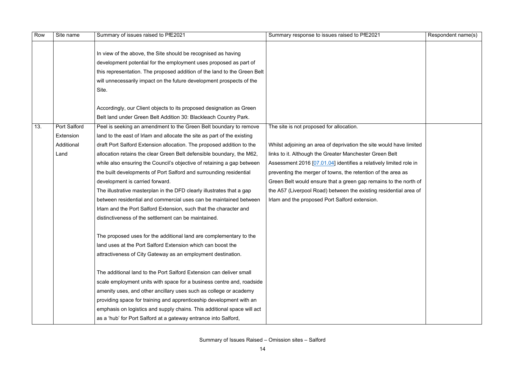|                                                                                | Respondent name(s) |
|--------------------------------------------------------------------------------|--------------------|
|                                                                                |                    |
| have limited<br>elt<br>ited role in<br>rea as<br>the north of<br>ntial area of |                    |

| Row | Site name           | Summary of issues raised to PfE2021                                      | Summary response to issues raised to PfE2021                        | Respondent name(s) |
|-----|---------------------|--------------------------------------------------------------------------|---------------------------------------------------------------------|--------------------|
|     |                     | In view of the above, the Site should be recognised as having            |                                                                     |                    |
|     |                     | development potential for the employment uses proposed as part of        |                                                                     |                    |
|     |                     | this representation. The proposed addition of the land to the Green Belt |                                                                     |                    |
|     |                     | will unnecessarily impact on the future development prospects of the     |                                                                     |                    |
|     |                     | Site.                                                                    |                                                                     |                    |
|     |                     |                                                                          |                                                                     |                    |
|     |                     | Accordingly, our Client objects to its proposed designation as Green     |                                                                     |                    |
|     |                     | Belt land under Green Belt Addition 30: Blackleach Country Park.         |                                                                     |                    |
| 13. | <b>Port Salford</b> | Peel is seeking an amendment to the Green Belt boundary to remove        | The site is not proposed for allocation.                            |                    |
|     | Extension           | land to the east of Irlam and allocate the site as part of the existing  |                                                                     |                    |
|     | Additional          | draft Port Salford Extension allocation. The proposed addition to the    | Whilst adjoining an area of deprivation the site would have limited |                    |
|     | Land                | allocation retains the clear Green Belt defensible boundary, the M62,    | links to it. Although the Greater Manchester Green Belt             |                    |
|     |                     | while also ensuring the Council's objective of retaining a gap between   | Assessment 2016 [07.01.04] identifies a relatively limited role in  |                    |
|     |                     | the built developments of Port Salford and surrounding residential       | preventing the merger of towns, the retention of the area as        |                    |
|     |                     | development is carried forward.                                          | Green Belt would ensure that a green gap remains to the north of    |                    |
|     |                     | The illustrative masterplan in the DFD clearly illustrates that a gap    | the A57 (Liverpool Road) between the existing residential area of   |                    |
|     |                     | between residential and commercial uses can be maintained between        | Irlam and the proposed Port Salford extension.                      |                    |
|     |                     | Irlam and the Port Salford Extension, such that the character and        |                                                                     |                    |
|     |                     | distinctiveness of the settlement can be maintained.                     |                                                                     |                    |
|     |                     | The proposed uses for the additional land are complementary to the       |                                                                     |                    |
|     |                     | land uses at the Port Salford Extension which can boost the              |                                                                     |                    |
|     |                     | attractiveness of City Gateway as an employment destination.             |                                                                     |                    |
|     |                     |                                                                          |                                                                     |                    |
|     |                     | The additional land to the Port Salford Extension can deliver small      |                                                                     |                    |
|     |                     | scale employment units with space for a business centre and, roadside    |                                                                     |                    |
|     |                     | amenity uses, and other ancillary uses such as college or academy        |                                                                     |                    |
|     |                     | providing space for training and apprenticeship development with an      |                                                                     |                    |
|     |                     | emphasis on logistics and supply chains. This additional space will act  |                                                                     |                    |
|     |                     | as a 'hub' for Port Salford at a gateway entrance into Salford,          |                                                                     |                    |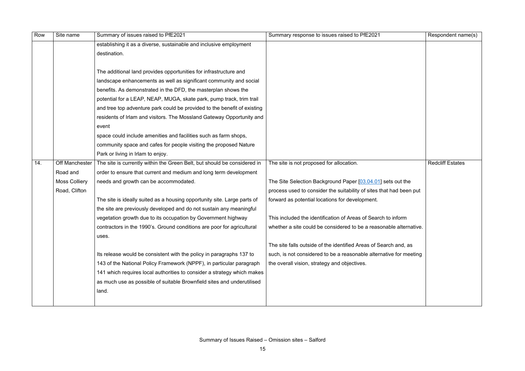| Row | Site name             | Summary of issues raised to PfE2021                                      | Summary response to issues raised to PfE2021                        | Respondent name(s)      |
|-----|-----------------------|--------------------------------------------------------------------------|---------------------------------------------------------------------|-------------------------|
|     |                       | establishing it as a diverse, sustainable and inclusive employment       |                                                                     |                         |
|     |                       | destination.                                                             |                                                                     |                         |
|     |                       |                                                                          |                                                                     |                         |
|     |                       | The additional land provides opportunities for infrastructure and        |                                                                     |                         |
|     |                       | landscape enhancements as well as significant community and social       |                                                                     |                         |
|     |                       | benefits. As demonstrated in the DFD, the masterplan shows the           |                                                                     |                         |
|     |                       | potential for a LEAP, NEAP, MUGA, skate park, pump track, trim trail     |                                                                     |                         |
|     |                       | and tree top adventure park could be provided to the benefit of existing |                                                                     |                         |
|     |                       | residents of Irlam and visitors. The Mossland Gateway Opportunity and    |                                                                     |                         |
|     |                       | event                                                                    |                                                                     |                         |
|     |                       | space could include amenities and facilities such as farm shops,         |                                                                     |                         |
|     |                       | community space and cafes for people visiting the proposed Nature        |                                                                     |                         |
|     |                       | Park or living in Irlam to enjoy.                                        |                                                                     |                         |
| 14. | <b>Off Manchester</b> | The site is currently within the Green Belt, but should be considered in | The site is not proposed for allocation.                            | <b>Redcliff Estates</b> |
|     | Road and              | order to ensure that current and medium and long term development        |                                                                     |                         |
|     | <b>Moss Colliery</b>  | needs and growth can be accommodated.                                    | The Site Selection Background Paper [03.04.01] sets out the         |                         |
|     | Road, Clifton         |                                                                          | process used to consider the suitability of sites that had been put |                         |
|     |                       | The site is ideally suited as a housing opportunity site. Large parts of | forward as potential locations for development.                     |                         |
|     |                       | the site are previously developed and do not sustain any meaningful      |                                                                     |                         |
|     |                       | vegetation growth due to its occupation by Government highway            | This included the identification of Areas of Search to inform       |                         |
|     |                       | contractors in the 1990's. Ground conditions are poor for agricultural   | whether a site could be considered to be a reasonable alternative.  |                         |
|     |                       | uses.                                                                    |                                                                     |                         |
|     |                       |                                                                          | The site falls outside of the identified Areas of Search and, as    |                         |
|     |                       | Its release would be consistent with the policy in paragraphs 137 to     | such, is not considered to be a reasonable alternative for meeting  |                         |
|     |                       | 143 of the National Policy Framework (NPPF), in particular paragraph     | the overall vision, strategy and objectives.                        |                         |
|     |                       | 141 which requires local authorities to consider a strategy which makes  |                                                                     |                         |
|     |                       | as much use as possible of suitable Brownfield sites and underutilised   |                                                                     |                         |
|     |                       | land.                                                                    |                                                                     |                         |
|     |                       |                                                                          |                                                                     |                         |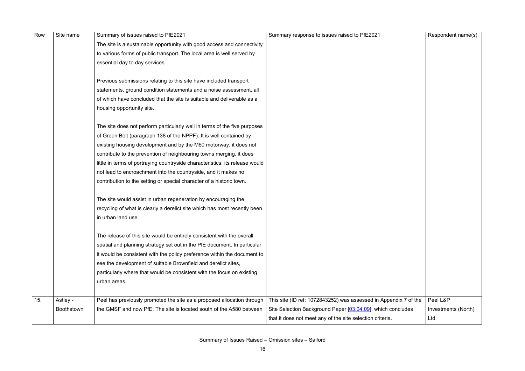|               | Respondent name(s)  |
|---------------|---------------------|
|               |                     |
|               |                     |
|               |                     |
|               |                     |
|               |                     |
|               |                     |
|               |                     |
|               |                     |
|               |                     |
|               |                     |
|               |                     |
|               |                     |
|               |                     |
|               |                     |
|               |                     |
|               |                     |
|               |                     |
|               |                     |
|               |                     |
|               |                     |
|               |                     |
|               |                     |
|               |                     |
|               |                     |
|               |                     |
|               |                     |
| ndix 7 of the | Peel L&P            |
| oncludes      | Investments (North) |
|               | Ltd                 |

| Row | Site name         | Summary of issues raised to PfE2021                                          | Summary response to issues raised to PfE2021                     | Respondent name(s)  |
|-----|-------------------|------------------------------------------------------------------------------|------------------------------------------------------------------|---------------------|
|     |                   | The site is a sustainable opportunity with good access and connectivity      |                                                                  |                     |
|     |                   | to various forms of public transport. The local area is well served by       |                                                                  |                     |
|     |                   | essential day to day services.                                               |                                                                  |                     |
|     |                   |                                                                              |                                                                  |                     |
|     |                   | Previous submissions relating to this site have included transport           |                                                                  |                     |
|     |                   | statements, ground condition statements and a noise assessment, all          |                                                                  |                     |
|     |                   | of which have concluded that the site is suitable and deliverable as a       |                                                                  |                     |
|     |                   | housing opportunity site.                                                    |                                                                  |                     |
|     |                   | The site does not perform particularly well in terms of the five purposes    |                                                                  |                     |
|     |                   | of Green Belt (paragraph 138 of the NPPF). It is well contained by           |                                                                  |                     |
|     |                   | existing housing development and by the M60 motorway, it does not            |                                                                  |                     |
|     |                   | contribute to the prevention of neighbouring towns merging, it does          |                                                                  |                     |
|     |                   | little in terms of portraying countryside characteristics, its release would |                                                                  |                     |
|     |                   | not lead to encroachment into the countryside, and it makes no               |                                                                  |                     |
|     |                   | contribution to the setting or special character of a historic town.         |                                                                  |                     |
|     |                   | The site would assist in urban regeneration by encouraging the               |                                                                  |                     |
|     |                   | recycling of what is clearly a derelict site which has most recently been    |                                                                  |                     |
|     |                   | in urban land use.                                                           |                                                                  |                     |
|     |                   | The release of this site would be entirely consistent with the overall       |                                                                  |                     |
|     |                   | spatial and planning strategy set out in the PfE document. In particular     |                                                                  |                     |
|     |                   | it would be consistent with the policy preference within the document to     |                                                                  |                     |
|     |                   | see the development of suitable Brownfield and derelict sites,               |                                                                  |                     |
|     |                   | particularly where that would be consistent with the focus on existing       |                                                                  |                     |
|     |                   | urban areas.                                                                 |                                                                  |                     |
| 15. | Astley -          | Peel has previously promoted the site as a proposed allocation through       | This site (ID ref: 1072843252) was assessed in Appendix 7 of the | Peel L&P            |
|     | <b>Boothstown</b> | the GMSF and now PfE. The site is located south of the A580 between          | Site Selection Background Paper [03.04.09], which concludes      | Investments (North) |
|     |                   |                                                                              | that it does not meet any of the site selection criteria.        | Ltd                 |
|     |                   |                                                                              |                                                                  |                     |